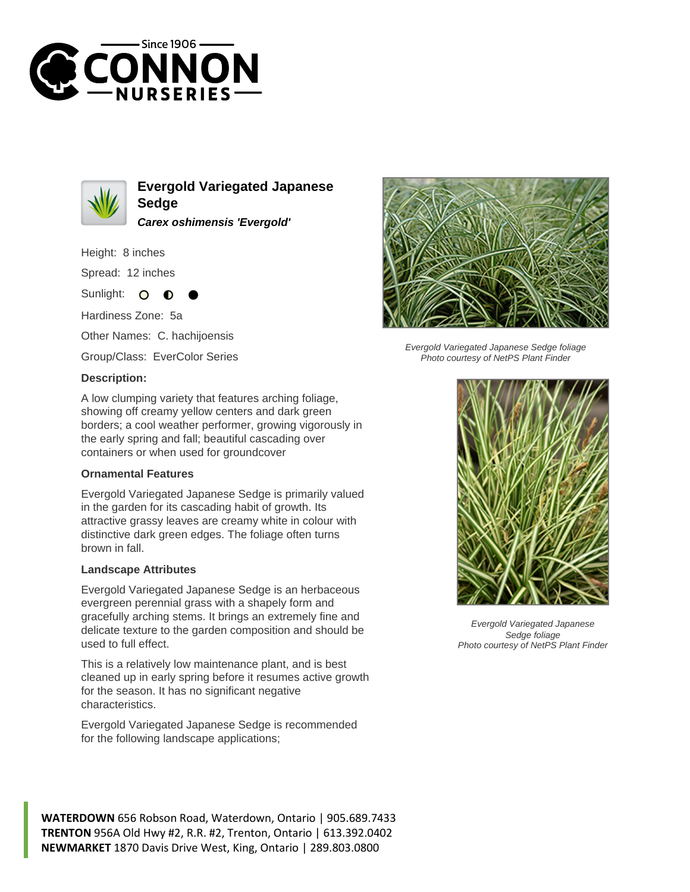



**Evergold Variegated Japanese Sedge Carex oshimensis 'Evergold'**

Height: 8 inches

Spread: 12 inches

Sunlight:  $\bullet$ 

Hardiness Zone: 5a

Other Names: C. hachijoensis

Group/Class: EverColor Series

## **Description:**

A low clumping variety that features arching foliage, showing off creamy yellow centers and dark green borders; a cool weather performer, growing vigorously in the early spring and fall; beautiful cascading over containers or when used for groundcover

## **Ornamental Features**

Evergold Variegated Japanese Sedge is primarily valued in the garden for its cascading habit of growth. Its attractive grassy leaves are creamy white in colour with distinctive dark green edges. The foliage often turns brown in fall.

## **Landscape Attributes**

Evergold Variegated Japanese Sedge is an herbaceous evergreen perennial grass with a shapely form and gracefully arching stems. It brings an extremely fine and delicate texture to the garden composition and should be used to full effect.

This is a relatively low maintenance plant, and is best cleaned up in early spring before it resumes active growth for the season. It has no significant negative characteristics.

Evergold Variegated Japanese Sedge is recommended for the following landscape applications;





Evergold Variegated Japanese Sedge foliage Photo courtesy of NetPS Plant Finder



Evergold Variegated Japanese Sedge foliage Photo courtesy of NetPS Plant Finder

**WATERDOWN** 656 Robson Road, Waterdown, Ontario | 905.689.7433 **TRENTON** 956A Old Hwy #2, R.R. #2, Trenton, Ontario | 613.392.0402 **NEWMARKET** 1870 Davis Drive West, King, Ontario | 289.803.0800